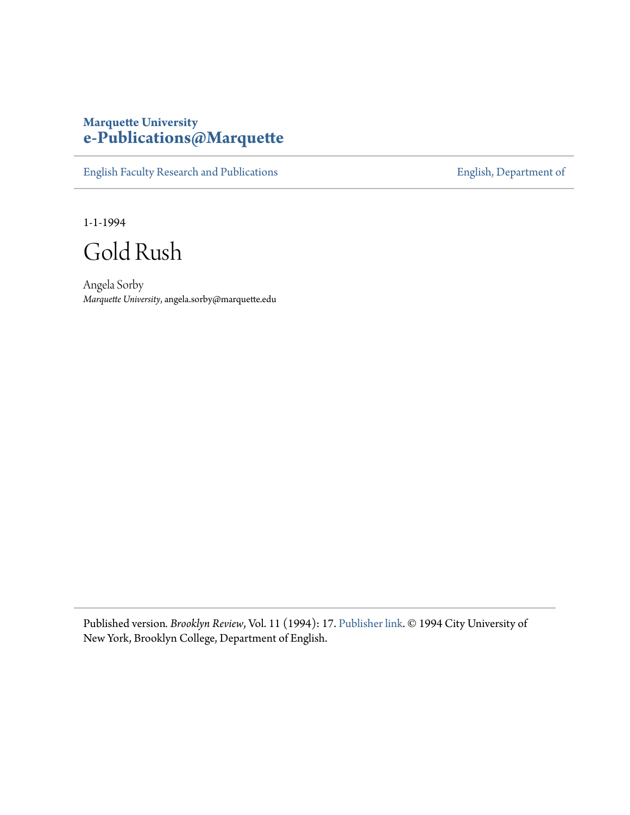## **Marquette University [e-Publications@Marquette](https://epublications.marquette.edu)**

[English Faculty Research and Publications](https://epublications.marquette.edu/english_fac) **[English, Department of](https://epublications.marquette.edu/english)** 

1-1-1994

Gold Rush

Angela Sorby *Marquette University*, angela.sorby@marquette.edu

Published version*. Brooklyn Review*, Vol. 11 (1994): 17. [Publisher link](http://www.bkreview.org/). © 1994 City University of New York, Brooklyn College, Department of English.